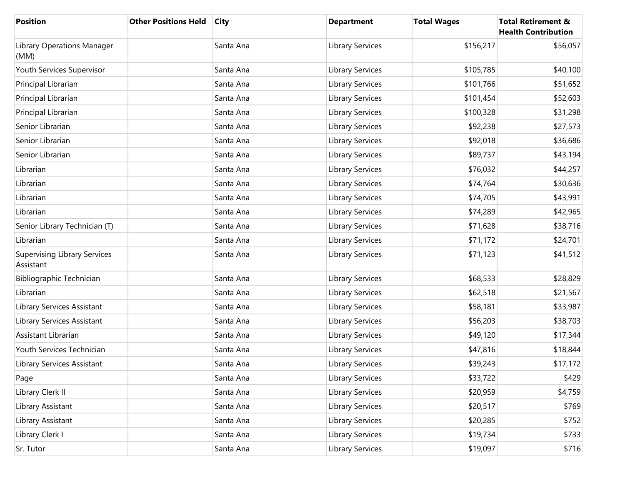| <b>Position</b>                                  | <b>Other Positions Held</b> | <b>City</b> | <b>Department</b> | <b>Total Wages</b> | <b>Total Retirement &amp;</b><br><b>Health Contribution</b> |
|--------------------------------------------------|-----------------------------|-------------|-------------------|--------------------|-------------------------------------------------------------|
| Library Operations Manager<br>(MM)               |                             | Santa Ana   | Library Services  | \$156,217          | \$56,057                                                    |
| Youth Services Supervisor                        |                             | Santa Ana   | Library Services  | \$105,785          | \$40,100                                                    |
| Principal Librarian                              |                             | Santa Ana   | Library Services  | \$101,766          | \$51,652                                                    |
| Principal Librarian                              |                             | Santa Ana   | Library Services  | \$101,454          | \$52,603                                                    |
| Principal Librarian                              |                             | Santa Ana   | Library Services  | \$100,328          | \$31,298                                                    |
| Senior Librarian                                 |                             | Santa Ana   | Library Services  | \$92,238           | \$27,573                                                    |
| Senior Librarian                                 |                             | Santa Ana   | Library Services  | \$92,018           | \$36,686                                                    |
| Senior Librarian                                 |                             | Santa Ana   | Library Services  | \$89,737           | \$43,194                                                    |
| Librarian                                        |                             | Santa Ana   | Library Services  | \$76,032           | \$44,257                                                    |
| Librarian                                        |                             | Santa Ana   | Library Services  | \$74,764           | \$30,636                                                    |
| Librarian                                        |                             | Santa Ana   | Library Services  | \$74,705           | \$43,991                                                    |
| Librarian                                        |                             | Santa Ana   | Library Services  | \$74,289           | \$42,965                                                    |
| Senior Library Technician (T)                    |                             | Santa Ana   | Library Services  | \$71,628           | \$38,716                                                    |
| Librarian                                        |                             | Santa Ana   | Library Services  | \$71,172           | \$24,701                                                    |
| <b>Supervising Library Services</b><br>Assistant |                             | Santa Ana   | Library Services  | \$71,123           | \$41,512                                                    |
| <b>Bibliographic Technician</b>                  |                             | Santa Ana   | Library Services  | \$68,533           | \$28,829                                                    |
| Librarian                                        |                             | Santa Ana   | Library Services  | \$62,518           | \$21,567                                                    |
| Library Services Assistant                       |                             | Santa Ana   | Library Services  | \$58,181           | \$33,987                                                    |
| Library Services Assistant                       |                             | Santa Ana   | Library Services  | \$56,203           | \$38,703                                                    |
| Assistant Librarian                              |                             | Santa Ana   | Library Services  | \$49,120           | \$17,344                                                    |
| Youth Services Technician                        |                             | Santa Ana   | Library Services  | \$47,816           | \$18,844                                                    |
| Library Services Assistant                       |                             | Santa Ana   | Library Services  | \$39,243           | \$17,172                                                    |
| Page                                             |                             | Santa Ana   | Library Services  | \$33,722           | \$429                                                       |
| Library Clerk II                                 |                             | Santa Ana   | Library Services  | \$20,959           | \$4,759                                                     |
| Library Assistant                                |                             | Santa Ana   | Library Services  | \$20,517           | \$769                                                       |
| Library Assistant                                |                             | Santa Ana   | Library Services  | \$20,285           | \$752                                                       |
| Library Clerk I                                  |                             | Santa Ana   | Library Services  | \$19,734           | \$733                                                       |
| Sr. Tutor                                        |                             | Santa Ana   | Library Services  | \$19,097           | \$716                                                       |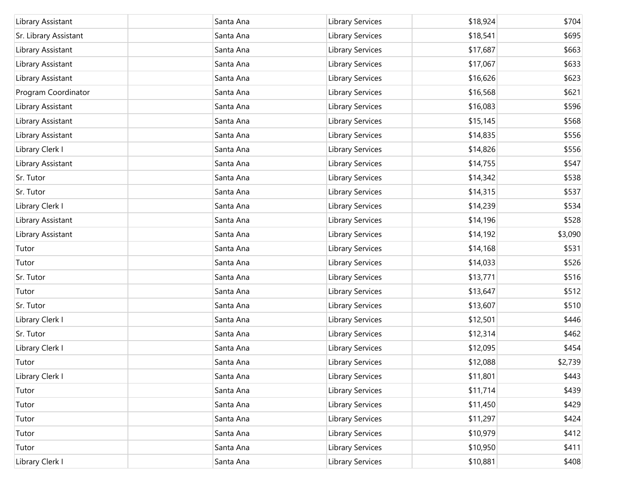| Library Assistant     | Santa Ana | Library Services | \$18,924 | \$704   |
|-----------------------|-----------|------------------|----------|---------|
| Sr. Library Assistant | Santa Ana | Library Services | \$18,541 | \$695   |
| Library Assistant     | Santa Ana | Library Services | \$17,687 | \$663   |
| Library Assistant     | Santa Ana | Library Services | \$17,067 | \$633   |
| Library Assistant     | Santa Ana | Library Services | \$16,626 | \$623   |
| Program Coordinator   | Santa Ana | Library Services | \$16,568 | \$621   |
| Library Assistant     | Santa Ana | Library Services | \$16,083 | \$596   |
| Library Assistant     | Santa Ana | Library Services | \$15,145 | \$568   |
| Library Assistant     | Santa Ana | Library Services | \$14,835 | \$556   |
| Library Clerk I       | Santa Ana | Library Services | \$14,826 | \$556   |
| Library Assistant     | Santa Ana | Library Services | \$14,755 | \$547   |
| Sr. Tutor             | Santa Ana | Library Services | \$14,342 | \$538   |
| Sr. Tutor             | Santa Ana | Library Services | \$14,315 | \$537   |
| Library Clerk I       | Santa Ana | Library Services | \$14,239 | \$534   |
| Library Assistant     | Santa Ana | Library Services | \$14,196 | \$528   |
| Library Assistant     | Santa Ana | Library Services | \$14,192 | \$3,090 |
| Tutor                 | Santa Ana | Library Services | \$14,168 | \$531   |
| Tutor                 | Santa Ana | Library Services | \$14,033 | \$526   |
| Sr. Tutor             | Santa Ana | Library Services | \$13,771 | \$516   |
| Tutor                 | Santa Ana | Library Services | \$13,647 | \$512   |
| Sr. Tutor             | Santa Ana | Library Services | \$13,607 | \$510   |
| Library Clerk I       | Santa Ana | Library Services | \$12,501 | \$446   |
| Sr. Tutor             | Santa Ana | Library Services | \$12,314 | \$462   |
| Library Clerk I       | Santa Ana | Library Services | \$12,095 | \$454   |
| Tutor                 | Santa Ana | Library Services | \$12,088 | \$2,739 |
| Library Clerk I       | Santa Ana | Library Services | \$11,801 | \$443   |
| Tutor                 | Santa Ana | Library Services | \$11,714 | \$439   |
| Tutor                 | Santa Ana | Library Services | \$11,450 | \$429   |
| Tutor                 | Santa Ana | Library Services | \$11,297 | \$424   |
| Tutor                 | Santa Ana | Library Services | \$10,979 | \$412   |
| Tutor                 | Santa Ana | Library Services | \$10,950 | \$411   |
| Library Clerk I       | Santa Ana | Library Services | \$10,881 | \$408   |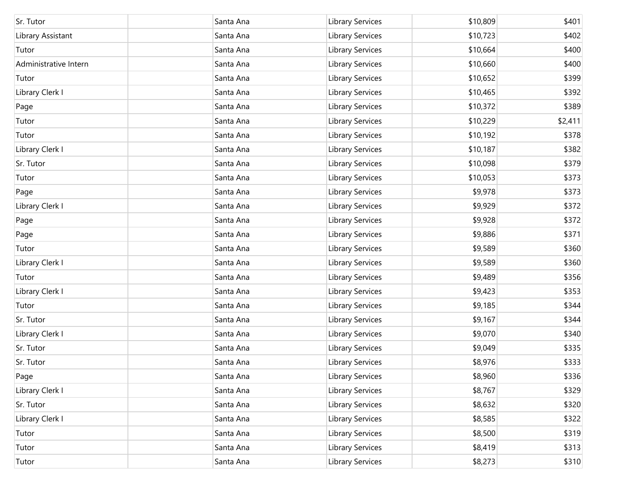| Sr. Tutor             | Santa Ana | Library Services        | \$10,809 | \$401   |
|-----------------------|-----------|-------------------------|----------|---------|
| Library Assistant     | Santa Ana | Library Services        | \$10,723 | \$402   |
| Tutor                 | Santa Ana | Library Services        | \$10,664 | \$400   |
| Administrative Intern | Santa Ana | Library Services        | \$10,660 | \$400   |
| Tutor                 | Santa Ana | Library Services        | \$10,652 | \$399   |
| Library Clerk I       | Santa Ana | Library Services        | \$10,465 | \$392   |
| Page                  | Santa Ana | Library Services        | \$10,372 | \$389   |
| Tutor                 | Santa Ana | Library Services        | \$10,229 | \$2,411 |
| Tutor                 | Santa Ana | Library Services        | \$10,192 | \$378   |
| Library Clerk I       | Santa Ana | Library Services        | \$10,187 | \$382   |
| Sr. Tutor             | Santa Ana | Library Services        | \$10,098 | \$379   |
| Tutor                 | Santa Ana | Library Services        | \$10,053 | \$373   |
| Page                  | Santa Ana | Library Services        | \$9,978  | \$373   |
| Library Clerk I       | Santa Ana | Library Services        | \$9,929  | \$372   |
| Page                  | Santa Ana | Library Services        | \$9,928  | \$372   |
| Page                  | Santa Ana | Library Services        | \$9,886  | \$371   |
| Tutor                 | Santa Ana | Library Services        | \$9,589  | \$360   |
| Library Clerk I       | Santa Ana | Library Services        | \$9,589  | \$360   |
| Tutor                 | Santa Ana | Library Services        | \$9,489  | \$356   |
| Library Clerk I       | Santa Ana | Library Services        | \$9,423  | \$353   |
| Tutor                 | Santa Ana | Library Services        | \$9,185  | \$344   |
| Sr. Tutor             | Santa Ana | Library Services        | \$9,167  | \$344   |
| Library Clerk I       | Santa Ana | Library Services        | \$9,070  | \$340   |
| Sr. Tutor             | Santa Ana | Library Services        | \$9,049  | \$335   |
| Sr. Tutor             | Santa Ana | <b>Library Services</b> | \$8,976  | \$333   |
| Page                  | Santa Ana | Library Services        | \$8,960  | \$336   |
| Library Clerk I       | Santa Ana | Library Services        | \$8,767  | \$329   |
| Sr. Tutor             | Santa Ana | Library Services        | \$8,632  | \$320   |
| Library Clerk I       | Santa Ana | Library Services        | \$8,585  | \$322   |
| Tutor                 | Santa Ana | Library Services        | \$8,500  | \$319   |
| Tutor                 | Santa Ana | Library Services        | \$8,419  | \$313   |
| Tutor                 | Santa Ana | Library Services        | \$8,273  | \$310   |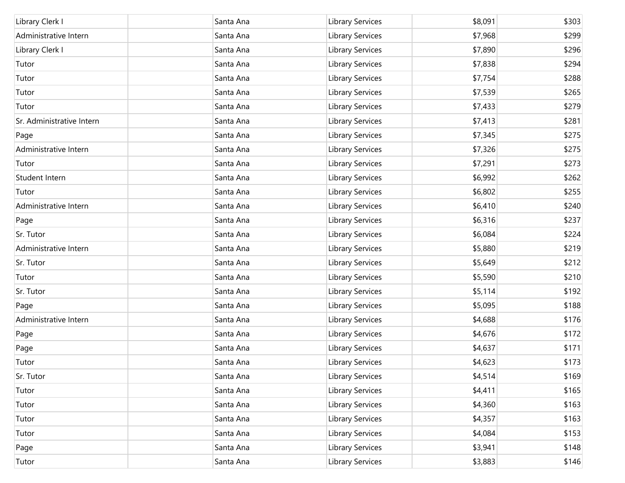| Library Clerk I           | Santa Ana | Library Services        | \$8,091 | \$303 |
|---------------------------|-----------|-------------------------|---------|-------|
| Administrative Intern     | Santa Ana | Library Services        | \$7,968 | \$299 |
| Library Clerk I           | Santa Ana | Library Services        | \$7,890 | \$296 |
| Tutor                     | Santa Ana | Library Services        | \$7,838 | \$294 |
| Tutor                     | Santa Ana | Library Services        | \$7,754 | \$288 |
| Tutor                     | Santa Ana | Library Services        | \$7,539 | \$265 |
| Tutor                     | Santa Ana | Library Services        | \$7,433 | \$279 |
| Sr. Administrative Intern | Santa Ana | Library Services        | \$7,413 | \$281 |
| Page                      | Santa Ana | Library Services        | \$7,345 | \$275 |
| Administrative Intern     | Santa Ana | Library Services        | \$7,326 | \$275 |
| Tutor                     | Santa Ana | Library Services        | \$7,291 | \$273 |
| Student Intern            | Santa Ana | Library Services        | \$6,992 | \$262 |
| Tutor                     | Santa Ana | <b>Library Services</b> | \$6,802 | \$255 |
| Administrative Intern     | Santa Ana | Library Services        | \$6,410 | \$240 |
| Page                      | Santa Ana | Library Services        | \$6,316 | \$237 |
| Sr. Tutor                 | Santa Ana | Library Services        | \$6,084 | \$224 |
| Administrative Intern     | Santa Ana | Library Services        | \$5,880 | \$219 |
| Sr. Tutor                 | Santa Ana | Library Services        | \$5,649 | \$212 |
| Tutor                     | Santa Ana | Library Services        | \$5,590 | \$210 |
| Sr. Tutor                 | Santa Ana | Library Services        | \$5,114 | \$192 |
| Page                      | Santa Ana | Library Services        | \$5,095 | \$188 |
| Administrative Intern     | Santa Ana | Library Services        | \$4,688 | \$176 |
| Page                      | Santa Ana | Library Services        | \$4,676 | \$172 |
| Page                      | Santa Ana | Library Services        | \$4,637 | \$171 |
| Tutor                     | Santa Ana | Library Services        | \$4,623 | \$173 |
| Sr. Tutor                 | Santa Ana | Library Services        | \$4,514 | \$169 |
| Tutor                     | Santa Ana | Library Services        | \$4,411 | \$165 |
| Tutor                     | Santa Ana | Library Services        | \$4,360 | \$163 |
| Tutor                     | Santa Ana | Library Services        | \$4,357 | \$163 |
| Tutor                     | Santa Ana | Library Services        | \$4,084 | \$153 |
| Page                      | Santa Ana | Library Services        | \$3,941 | \$148 |
| Tutor                     | Santa Ana | Library Services        | \$3,883 | \$146 |